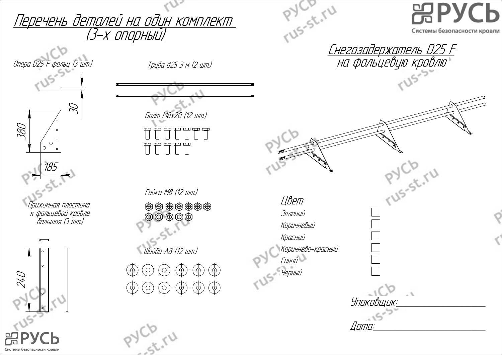

Системы безопасности кровли